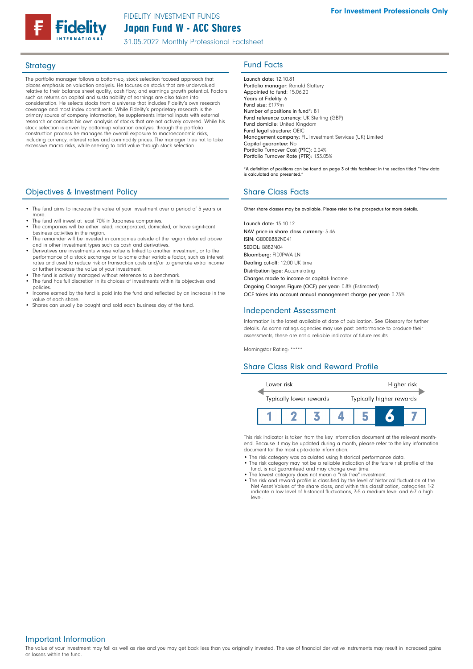# Japan Fund W - ACC Shares FIDELITY INVESTMENT FUNDS

31.05.2022 Monthly Professional Factsheet

The portfolio manager follows a bottom-up, stock selection focused approach that places emphasis on valuation analysis. He focuses on stocks that are undervalued relative to their balance sheet quality, cash flow, and earnings growth potential. Factors such as returns on capital and sustainability of earnings are also taken into consideration. He selects stocks from a universe that includes Fidelity's own research coverage and most index constituents. While Fidelity's proprietary research is the primary source of company information, he supplements internal inputs with external research or conducts his own analysis of stocks that are not actively covered. While his stock selection is driven by bottom-up valuation analysis, through the portfolio construction process he manages the overall exposure to macroeconomic risks, including currency, interest rates and commodity prices. The manager tries not to take excessive macro risks, while seeking to add value through stock selection.

## **Objectives & Investment Policy Share Class Facts** Share Class Facts

- The fund aims to increase the value of your investment over a period of 5 years or more.
- The fund will invest at least 70% in Japanese companies. The companies will be either listed, incorporated, domiciled, or have significant
- business activities in the region. The remainder will be invested in companies outside of the region detailed above and in other investment types such as cash and derivatives
- Derivatives are investments whose value is linked to another investment, or to the performance of a stock exchange or to some other variable factor, such as interest rates and used to reduce risk or transaction costs and/or to generate extra income or further increase the value of your investment.
- The fund is actively managed without reference to a benchmark.
- The fund has full discretion in its choices of investments within its objectives and policies.
- Income earned by the fund is paid into the fund and reflected by an increase in the value of each share.
- Shares can usually be bought and sold each business day of the fund.

# Strategy **Fund Facts**

Launch date: 12.10.81 Portfolio manager: Ronald Slattery Appointed to fund: 15.06.20 Years at Fidelity: 6 Fund size: £179m Number of positions in fund\*: 81 Fund reference currency: UK Sterling (GBP) Fund domicile: United Kingdom Fund legal structure: OEIC Management company: FIL Investment Services (UK) Limited Capital guarantee: No Portfolio Turnover Cost (PTC): 0.04% Portfolio Turnover Rate (PTR): 133.05%

\*A definition of positions can be found on page 3 of this factsheet in the section titled "How data is calculated and presented."

Other share classes may be available. Please refer to the prospectus for more details.

Launch date: 15.10.12 NAV price in share class currency: 5.46 ISIN: GB00B882N041 SEDOL: B882N04 Bloomberg: FIDJPWA LN Dealing cut-off: 12:00 UK time Distribution type: Accumulating Charges made to income or capital: Income Ongoing Charges Figure (OCF) per year: 0.8% (Estimated) OCF takes into account annual management charge per year: 0.75%

### Independent Assessment

Information is the latest available at date of publication. See Glossary for further details. As some ratings agencies may use past performance to produce their assessments, these are not a reliable indicator of future results.

Morningstar Rating: \*\*\*\*\*

## Share Class Risk and Reward Profile



This risk indicator is taken from the key information document at the relevant monthend. Because it may be updated during a month, please refer to the key information document for the most up-to-date information.

- The risk category was calculated using historical performance data.
- The risk category may not be a reliable indication of the future risk profile of the fund, is not guaranteed and may change over time.
- The lowest category does not mean a "risk free" investment. • The risk and reward profile is classified by the level of historical fluctuation of the
- Net Asset Values of the share class, and within this classification, categories 1-2 indicate a low level of historical fluctuations, 3-5 a medium level and 6-7 a high level.

### Important Information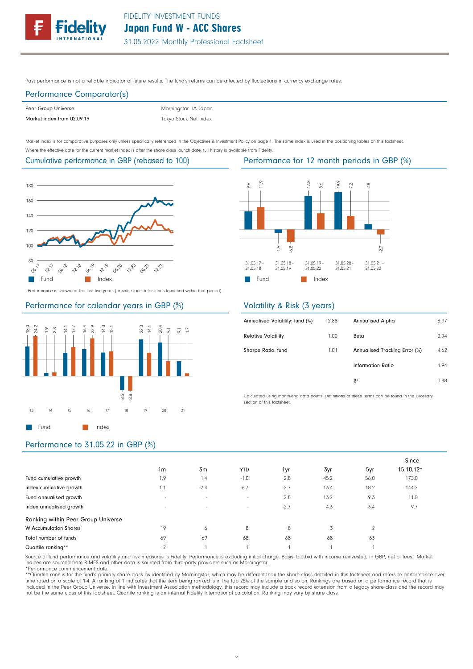Past performance is not a reliable indicator of future results. The fund's returns can be affected by fluctuations in currency exchange rates.

# Performance Comparator(s)

| Peer Group Universe        |  |
|----------------------------|--|
| Market index from 02.09.19 |  |

Tokyo Stock Net Index Morningstar IA Japan

Market index is for comparative purposes only unless specifically referenced in the Objectives & Investment Policy on page 1. The same index is used in the positioning tables on this factsheet. Where the effective date for the current market index is after the share class launch date, full history is available from Fidelity.

# Cumulative performance in GBP (rebased to 100)



Performance is shown for the last five years (or since launch for funds launched within that period).

### Performance for calendar years in GBP (%)



# Performance for 12 month periods in GBP (%)



# Volatility & Risk (3 years)

| Annualised Volatility: fund (%) | 12.88 | <b>Annualised Alpha</b>       | 8.97 |
|---------------------------------|-------|-------------------------------|------|
| <b>Relative Volatility</b>      | 1.00  | Beta                          | 0.94 |
| Sharpe Ratio: fund              | 1.01  | Annualised Tracking Error (%) | 4.62 |
|                                 |       | <b>Information Ratio</b>      | 1.94 |
|                                 |       | R <sup>2</sup>                | 0.88 |
|                                 |       |                               |      |

Calculated using month-end data points. Definitions of these terms can be found in the Glossary section of this factsheet.

## Performance to 31.05.22 in GBP (%)

|                                    |                          |        |            |        |      |                | Since     |
|------------------------------------|--------------------------|--------|------------|--------|------|----------------|-----------|
|                                    | 1 <sub>m</sub>           | 3m     | <b>YTD</b> | 1yr    | 3yr  | 5yr            | 15.10.12* |
| Fund cumulative growth             | 1.9                      | 1.4    | $-1.0$     | 2.8    | 45.2 | 56.0           | 173.0     |
| Index cumulative growth            | 1.1                      | $-2.4$ | $-6.7$     | $-2.7$ | 13.4 | 18.2           | 144.2     |
| Fund annualised growth             | ٠                        | $\sim$ | $\sim$     | 2.8    | 13.2 | 9.3            | 11.0      |
| Index annualised growth            | $\overline{\phantom{a}}$ | $\sim$ | $\sim$     | $-2.7$ | 4.3  | 3.4            | 9.7       |
| Ranking within Peer Group Universe |                          |        |            |        |      |                |           |
| <b>W</b> Accumulation Shares       | 19                       | 6      | 8          | 8      | 3    | $\overline{2}$ |           |
| Total number of funds              | 69                       | 69     | 68         | 68     | 68   | 63             |           |
| Quartile ranking**                 | $\sim$                   |        |            |        |      |                |           |

Source of fund performance and volatility and risk measures is Fidelity. Performance is excluding initial charge. Basis: bid-bid with income reinvested, in GBP, net of fees. Market indices are sourced from RIMES and other data is sourced from third-party providers such as Morningstar.

\*Performance commencement date.

\*\*Quartile rank is for the fund's primary share class as identified by Morningstar, which may be different than the share class detailed in this factsheet and refers to performance over time rated on a scale of 1-4. A ranking of 1 indicates that the item being ranked is in the top 25% of the sample and so on. Rankings are based on a performance record that is<br>included in the Peer Group Universe. In line w not be the same class of this factsheet. Quartile ranking is an internal Fidelity International calculation. Ranking may vary by share class.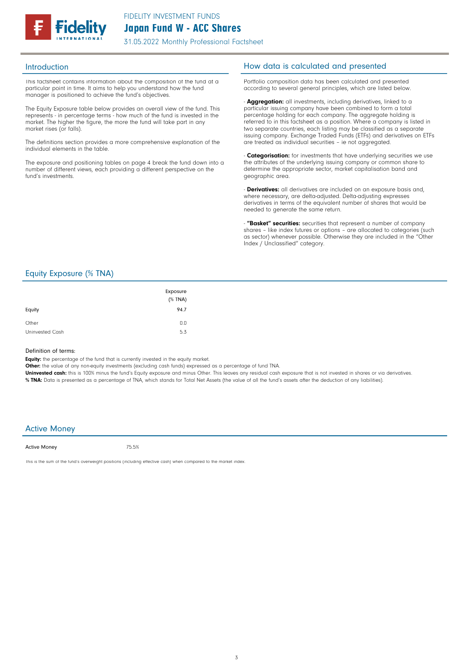

31.05.2022 Monthly Professional Factsheet

This factsheet contains information about the composition of the fund at a particular point in time. It aims to help you understand how the fund manager is positioned to achieve the fund's objectives.

The Equity Exposure table below provides an overall view of the fund. This represents - in percentage terms - how much of the fund is invested in the market. The higher the figure, the more the fund will take part in any market rises (or falls).

The definitions section provides a more comprehensive explanation of the individual elements in the table.

The exposure and positioning tables on page 4 break the fund down into a number of different views, each providing a different perspective on the fund's investments.

## Introduction **Introduction How data is calculated and presented**

Portfolio composition data has been calculated and presented according to several general principles, which are listed below.

- **Aggregation:** all investments, including derivatives, linked to a particular issuing company have been combined to form a total percentage holding for each company. The aggregate holding is referred to in this factsheet as a position. Where a company is listed in two separate countries, each listing may be classified as a separate issuing company. Exchange Traded Funds (ETFs) and derivatives on ETFs are treated as individual securities – ie not aggregated.

**Categorisation:** for investments that have underlying securities we use the attributes of the underlying issuing company or common share to determine the appropriate sector, market capitalisation band and geographic area.

- **Derivatives:** all derivatives are included on an exposure basis and, where necessary, are delta-adjusted. Delta-adjusting expresses derivatives in terms of the equivalent number of shares that would be needed to generate the same return.

"Basket" securities: securities that represent a number of company shares - like index futures or options - are allocated to categories (such as sector) whenever possible. Otherwise they are included in the "Other Index / Unclassified" category.

## Equity Exposure (% TNA)

| Equity          | Exposure<br>$(%$ (% TNA)<br>94.7 |
|-----------------|----------------------------------|
| Other           | 0.0                              |
| Uninvested Cash | 5.3                              |

#### Definition of terms:

Equity: the percentage of the fund that is currently invested in the equity market.

Other: the value of any non-equity investments (excluding cash funds) expressed as a percentage of fund TNA.

Uninvested cash: this is 100% minus the fund's Equity exposure and minus Other. This leaves any residual cash exposure that is not invested in shares or via derivatives. % TNA: Data is presented as a percentage of TNA, which stands for Total Net Assets (the value of all the fund's assets after the deduction of any liabilities).

#### Active Money

Active Money

75.5%

This is the sum of the fund's overweight positions (including effective cash) when compared to the market index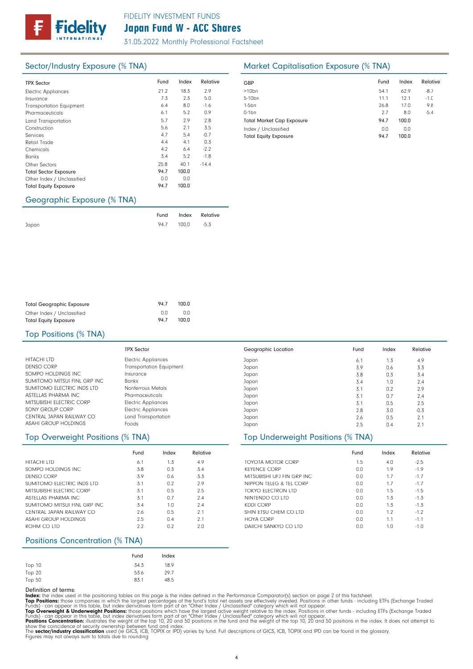31.05.2022 Monthly Professional Factsheet

| <b>TPX Sector</b>               | Fund | Index | Relative | GBP              |
|---------------------------------|------|-------|----------|------------------|
| <b>Electric Appliances</b>      | 21.2 | 18.3  | 2.9      | >10 <sub>k</sub> |
| Insurance                       | 7.3  | 2.3   | 5.0      | $5 - 10$         |
| <b>Transportation Equipment</b> | 6.4  | 8.0   | $-1.6$   | $1-5b$           |
| Pharmaceuticals                 | 6.1  | 5.2   | 0.9      | $0-1b$           |
| Land Transportation             | 5.7  | 2.9   | 2.8      | Tota             |
| Construction                    | 5.6  | 2.1   | 3.5      | Inde             |
| Services                        | 4.7  | 5.4   | $-0.7$   | Tota             |
| Retail Trade                    | 4.4  | 4.1   | 0.3      |                  |
| Chemicals                       | 4.2  | 6.4   | $-2.2$   |                  |
| <b>Banks</b>                    | 3.4  | 5.2   | $-1.8$   |                  |
| Other Sectors                   | 25.8 | 40.1  | $-14.4$  |                  |
| <b>Total Sector Exposure</b>    | 94.7 | 100.0 |          |                  |
| Other Index / Unclassified      | 0.0  | 0.0   |          |                  |
| <b>Total Equity Exposure</b>    | 94.7 | 100.0 |          |                  |
|                                 |      |       |          |                  |

# Sector/Industry Exposure (% TNA) Market Capitalisation Exposure (% TNA)

| GBP                              | Fund | Index | Relative |
|----------------------------------|------|-------|----------|
| $>10$ bn                         | 54.1 | 62.9  | $-8.7$   |
| 5-10 <sub>bn</sub>               | 11.1 | 12.1  | $-1.0$   |
| $1-5$ bn                         | 26.8 | 17.0  | 9.8      |
| $0-1$ bn                         | 2.7  | 8.0   | $-5.4$   |
| <b>Total Market Cap Exposure</b> | 94.7 | 100.0 |          |
| Index / Unclassified             | 0.0  | 0.0   |          |
| <b>Total Equity Exposure</b>     | 94.7 | 100.0 |          |

### Geographic Exposure (% TNA)

|       |                 | Fund Index Relative |
|-------|-----------------|---------------------|
| Japan | 94.7 100.0 -5.3 |                     |

| <b>Total Geographic Exposure</b> | 94.7 | 100.0 |
|----------------------------------|------|-------|
| Other Index / Unclassified       | n n  | 0.O   |
| <b>Total Equity Exposure</b>     | 94.7 | 100.0 |

#### Top Positions (% TNA)

|                              | <b>TPX Sector</b>          | Geogr |
|------------------------------|----------------------------|-------|
| HITACHI LTD                  | <b>Electric Appliances</b> | Japan |
| <b>DENSO CORP</b>            | Transportation Equipment   | Japan |
| SOMPO HOLDINGS INC           | Insurance                  | Japan |
| SUMITOMO MITSUI FINL GRP INC | <b>Banks</b>               | Japan |
| SUMITOMO ELECTRIC INDS LTD   | Nonferrous Metals          | Japan |
| ASTELLAS PHARMA INC          | Pharmaceuticals            | Japan |
| MITSUBISHI ELECTRIC CORP     | <b>Electric Appliances</b> | Japan |
| SONY GROUP CORP              | <b>Electric Appliances</b> | Japan |
| CENTRAL JAPAN RAILWAY CO     | Land Transportation        | Japan |
| ASAHI GROUP HOLDINGS         | Foods                      | Japan |

|                             | Fund | Index | Relative |
|-----------------------------|------|-------|----------|
| HITACHI LTD                 | 6.1  | 1.3   | 4.9      |
| SOMPO HOLDINGS INC.         | 3.8  | 0.3   | 3.4      |
| DENSO CORP                  | 3.9  | 0.6   | 3.3      |
| SUMITOMO FLECTRIC INDS LTD  | 3.1  | 0.2   | 2.9      |
| MITSURISHI ELECTRIC CORP    | 3.1  | 0.5   | 2.5      |
| ASTELLAS PHARMA INC.        | 3.1  | 0.7   | 7.4      |
| SUMITOMO MITSULFINL GRP INC | 3.4  | 1.0   | 7.4      |
| CENTRAL JAPAN RAILWAY CO    | 2.6  | 0.5   | 21       |
| ASAHI GROUP HOLDINGS        | 2.5  | 0.4   | 21       |
| ROHM CO LTD                 | 2.2  | በ 2   | 2.0      |

### Positions Concentration (% TNA)

|        | Fund | Index |
|--------|------|-------|
| Top 10 | 34.3 | 18.9  |
| Top 20 | 53.6 | 29.7  |
| Top 50 | 83.1 | 48.5  |

Definition of terms:<br>
Top Positions: these din the positioning tables on this page is the index defined in the Performance Comparator(s) section on page 2 of this factsheet.<br>
ITOP Positions: those companies in which the la

| Geographic Location | Fund | Index | Relative |  |
|---------------------|------|-------|----------|--|
| Japan               | 6.1  | 1.3   | 4.9      |  |
| Japan               | 3.9  | 0.6   | 3.3      |  |
| Japan               | 3.8  | 0.3   | 3.4      |  |
| Japan               | 3.4  | 1.0   | 2.4      |  |
| Japan               | 3.1  | 0.2   | 2.9      |  |
| Japan               | 3.1  | 0.7   | 2.4      |  |
| Japan               | 3.1  | 0.5   | 2.5      |  |
| Japan               | 2.8  | 3.0   | $-0.3$   |  |
| Japan               | 2.6  | 0.5   | 2.1      |  |
| Japan               | 2.5  | 0.4   | 2.1      |  |

# Top Overweight Positions (% TNA) Top Underweight Positions (% TNA)

|                             | Fund | Index | Relative |
|-----------------------------|------|-------|----------|
| TOYOTA MOTOR CORP           | 1.5  | 4.0   | $-2.5$   |
| <b>KEYENCE CORP</b>         | 0.0  | 1.9   | $-1.9$   |
| MITSUBISHI UFJ FIN GRP INC. | 0.0  | 1.7   | $-1.7$   |
| NIPPON TELEG & TEL CORP     | 0.0  | 1.7   | $-1.7$   |
| TOKYO FLECTRON LTD          | 0.0  | 1.5   | $-1.5$   |
| NINTENDO CO LTD             | 0.0  | 1.3   | $-1.3$   |
| KDDI CORP                   | 0.0  | 1.3   | $-1.3$   |
| SHIN FTSU CHEM CO LTD       | 0.0  | 1.2   | $-1.2$   |
| HOYA CORP                   | 0.0  | 1.1   | $-1.1$   |
| DAIICHI SANKYO CO LTD       | 0.0  | 1.0   | $-1.0$   |

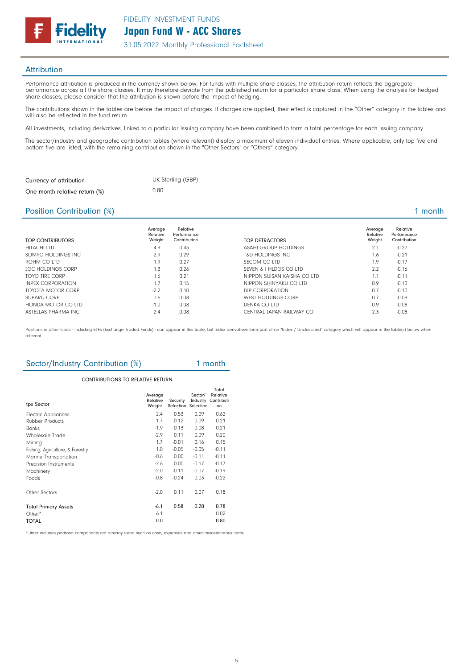

### **Attribution**

Performance attribution is produced in the currency shown below. For funds with multiple share classes, the attribution return reflects the aggregate performance across all the share classes. It may therefore deviate from the published return for a particular share class. When using the analysis for hedged share classes, please consider that the attribution is shown before the impact of hedging.

The contributions shown in the tables are before the impact of charges. If charges are applied, their effect is captured in the "Other" category in the tables and will also be reflected in the fund return.

All investments, including derivatives, linked to a particular issuing company have been combined to form a total percentage for each issuing company.

The sector/industry and geographic contribution tables (where relevant) display a maximum of eleven individual entries. Where applicable, only top five and bottom five are listed, with the remaining contribution shown in the "Other Sectors" or "Others" category.

| Currency of attribution       | UK Sterling (GBP) |
|-------------------------------|-------------------|
| One month relative return (%) | 0.80              |

### Position Contribution (%) 2 and 2 and 2 and 2 and 2 and 2 and 2 and 2 and 2 and 2 and 2 and 2 and 2 and 2 and 2 and 2 and 2 and 2 and 2 and 2 and 2 and 2 and 2 and 2 and 2 and 2 and 2 and 2 and 2 and 2 and 2 and 2 and 2 an

| TOP CONTRIBUTORS         | Average<br>Relative<br>Weight | Relative<br>Performance<br>Contribution | TOP DETRACTORS              | Average<br>Relative<br>Weight | Relative<br>Performance<br>Contribution |
|--------------------------|-------------------------------|-----------------------------------------|-----------------------------|-------------------------------|-----------------------------------------|
| HITACHI LTD              | 4.9                           | 0.45                                    | ASAHI GROUP HOLDINGS        | 2.1                           | $-0.27$                                 |
| SOMPO HOLDINGS INC.      | 2.9                           | 0.29                                    | T&D HOLDINGS INC            | 1.6                           | $-0.21$                                 |
| ROHM CO LTD              | 1.9                           | 0.27                                    | SECOM CO LTD                | 1.9                           | $-0.17$                                 |
| <b>JGC HOLDINGS CORP</b> | 1.3                           | 0.26                                    | SEVEN & I HLDGS CO LTD      | 2.2                           | $-0.16$                                 |
| TOYO TIRE CORP           | 1.6                           | 0.21                                    | NIPPON SUISAN KAISHA CO LTD | 1.1                           | $-0.11$                                 |
| <b>INPEX CORPORATION</b> | 1.7                           | 0.15                                    | NIPPON SHINYAKU CO LTD      | 0.9                           | $-0.10$                                 |
| TOYOTA MOTOR CORP        | $-2.2$                        | 0.10                                    | DIP CORPORATION             | 0.7                           | $-0.10$                                 |
| SUBARU CORP              | 0.6                           | 0.08                                    | <b>WEST HOLDINGS CORP</b>   | 0.7                           | $-0.09$                                 |
| HONDA MOTOR CO LTD       | $-1.0$                        | 0.08                                    | DENKA CO LTD                | 0.9                           | $-0.08$                                 |
| ASTELLAS PHARMA INC      | 2.4                           | 0.08                                    | CENTRAL JAPAN RAILWAY CO    | 2.3                           | $-0.08$                                 |

Positions in other funds - including ETFs (Exchange Traded Funds) - can appear in this table, but index derivatives form part of an "Index / Unclassified" category which will appear in the table(s) below when relevant.

# Sector/Industry Contribution (%) 1 month

#### CONTRIBUTIONS TO RELATIVE RETURN

| tpx Sector                       | Average<br>Relative<br>Weight | Security<br>Selection | Sector/<br>Industry<br>Selection | Total<br>Relative<br>Contributi<br>on |
|----------------------------------|-------------------------------|-----------------------|----------------------------------|---------------------------------------|
| <b>Electric Appliances</b>       | 7.4                           | 0.53                  | 0.09                             | 0.62                                  |
| <b>Rubber Products</b>           | 1.7                           | 0.12                  | 0.09                             | 0.21                                  |
| Banks                            | $-1.9$                        | 0.13                  | 0.08                             | 0.21                                  |
| <b>Wholesale Trade</b>           | $-2.9$                        | 0.11                  | 0.09                             | 0.20                                  |
| Mining                           | 1.7                           | $-0.01$               | 0.16                             | 0.15                                  |
| Fishing, Agriculture, & Forestry | 1.0                           | $-0.05$               | $-0.05$                          | $-0.11$                               |
| Marine Transportation            | $-0.6$                        | 0.00                  | $-0.11$                          | $-0.11$                               |
| Precision Instruments            | $-2.6$                        | 0.00                  | $-0.17$                          | $-0.17$                               |
| Machinery                        | $-2.0$                        | $-0.11$               | $-0.07$                          | $-0.19$                               |
| Foods                            | $-0.8$                        | $-0.24$               | 0.03                             | $-0.22$                               |
| Other Sectors                    | $-2.0$                        | 0.11                  | 0.07                             | 0.18                                  |
| <b>Total Primary Assets</b>      | -6.1                          | 0.58                  | 0.20                             | 0.78                                  |
| Other*                           | 6.1                           |                       |                                  | 0.02                                  |
| TOTAL                            | 0.0                           |                       |                                  | 0.80                                  |

\*Other includes portfolio components not already listed such as cash, expenses and other miscellaneous items.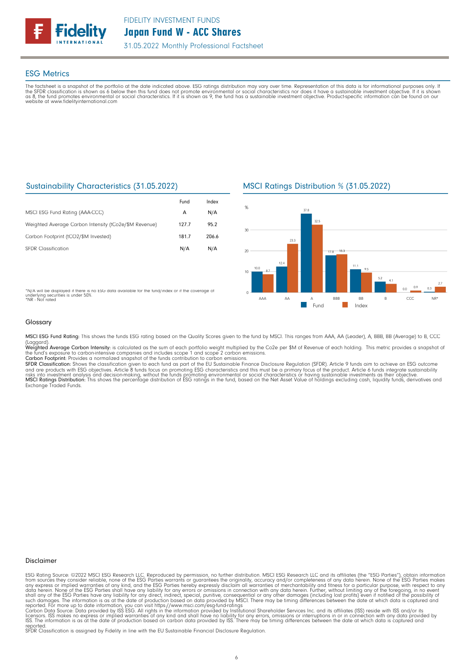

### ESG Metrics

The factsheet is a snapshot of the portfolio at the date indicated above. ESG ratings distribution may vary over time. Representation of this data is for informational purposes only. If<br>the SFDR classification is shown as website at www.fidelityinternational.com

## Sustainability Characteristics (31.05.2022)

|                                                       | Fund  | Index |
|-------------------------------------------------------|-------|-------|
| MSCI ESG Fund Rating (AAA-CCC)                        | A     | N/A   |
| Weighted Average Carbon Intensity (tCo2e/\$M Revenue) | 127.7 | 95.2  |
| Carbon Footprint (tCO2/\$M Invested)                  | 181.7 | 206.6 |
| <b>SFDR Classification</b>                            | N/A   | N/A   |

\*N/A will be displayed if there is no ESG data available for the fund/index or if the coverage of underlying securities is under 50%. \*NR - Not rated

## MSCI Ratings Distribution % (31.05.2022)



#### Glossary

MSCI ESG Fund Rating: This shows the funds ESG rating based on the Quality Scores given to the fund by MSCI. This ranges from AAA, AA (Leader), A, BBB, BB (Average) to B, CCC

(Laggard).<br>**Weighted Average Carbon Intensity**: is calculated as the sum of each portfolio weight multiplied by the Co2e per \$M of Revenue of each holding. This metric provides a snapshot o

the fund's exposure to carbon-intensive companies and includes scope 1 and scope 2 carbon emissions.<br>**Carbon Footprint**: Provides a normalized snapshot of the funds contribution to carbon emissions.<br>**SFDR Classification:** and are products with ESG objectives. Article 8 funds focus on promoting ESG characteristics and this must be a primary focus of the product. Article 6 funds integrate sustainability<br>risks into investment analysis and deci

#### Disclaimer

ESG Rating Source: ©2022 MSCI ESG Research LLC. Reproduced by permission, no further distribution. MSCI ESG Research LLC and its affiliates (the "ESG Parties"), obtain information<br>from sources they consider reliable, none

reported. SFDR Classification is assigned by Fidelity in line with the EU Sustainable Financial Disclosure Regulation.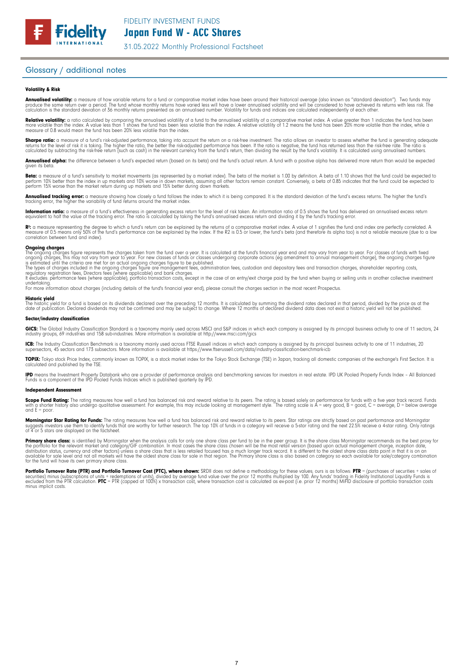31.05.2022 Monthly Professional Factsheet

### Glossary / additional notes

#### Volatility & Risk

**Annualised volatility:** a measure of how variable returns for a fund or comparative market index have been around their historical average (also known as "standard deviation"). Two funds may<br>produce the same return over a calculation is the standard deviation of 36 monthly returns presented as an annualised number. Volatility for funds and indices are calculated independently of each other

**Relative volatility:** a ratio calculated by comparing the annualised volatility of a fund to the annualised volatility of a comparative market index. A value greater than 1 indicates the fund has been<br>more volatile than t measure of 0.8 would mean the fund has been 20% less volatile than the index.

**Sharpe ratio:** a measure of a fund's risk-adjusted performance, taking into account the return on a risk-free investment. The ratio allows an investor to assess whether the fund is generating adequate the tund is generati

Annualised alpha: the difference between a fund's expected return (based on its beta) and the fund's actual return. A fund with a positive alpha has delivered more return than would be expected given its beta

**Beta:** a measure of a fund's sensitivity to market movements (as represented by a market index). The beta of the market is 1.00 by definition. A beta of 1.10 shows that the fund could be expected to<br>perform 10% better tha perform 15% worse than the market return during up markets and 15% better during down markets.

**Annualised tracking error:** a measure showing how closely a tund tollows the index to which it is being compared. It is the standard deviation of the fund's excess returns. The higher the fund's<br>tracking error, the higher

**Information ratio:** a measure ot a tund's eftectiveness in generating excess return for the level of risk taken. An information ratio of U.5 shows the fund has delivered an annualised excess return<br>equivalent to half the

Rº: a measure representing the degree to which a fund's return can be explained by the returns of a comparative market index. A value of 1 signifies the fund and index are perfectly correlated. A<br>measure of 0.5 means only correlation between fund and index).

**Ongoing charges** figure represents the charges taken from the fund over a year. It is calculated at the fund's financial year end and may vary from year to year. For classes of funds with fixed ongoing charges figure repr

For more information about charges (including details of the fund's financial year end), please consult the charges section in the most recent Prospectus.

**Historic yield**<br>The historic yield for a fund is based on its dividends declared over the preceding 12 months. It is calculated by summing the dividend rates declared in that period, divided by the price as at the date of publication. Declared dividends may not be confirmed and may be subject to change. Where 12 months of declared dividend data does not exist a historic yield will not be published.

#### Sector/industry classification

GICS: The Global Industry Classification Standard is a taxonomy mainly used across MSCI and S&P indices in which each company is assigned by its principal business activity to one of 11 sectors, 24 industry groups, 69 industries and 158 sub-industries. More information is available at http://www.msci.com/gics

**ICB:** The Industry Classitication Benchmark is a taxonomy mainly used across FTSE Russell indices in which each company is assigned by its principal business activity to one of 11 industries, 20<br>supersectors, 45 sectors a

TOPIX: Tokyo stock Price Index, commonly known as TOPIX, is a stock market index for the Tokyo Stock Exchange (TSE) in Japan, tracking all domestic companies of the exchange's First Section. It is calculated and published by the TSE.

**IPD** means the Investment Property Databank who are a provider of performance analysis and benchmarking services for investors in real estate. IPD UK Pooled Property Funds Index - All Balanced<br>Funds is a component of the

#### Independent Assessment

**Scope Fund Rating:** The rating measures how well a fund has balanced risk and reward relative to its peers. The rating is based solely on performance for funds with a five year track record. Funds<br>with a shorter history a and  $E = poor$ 

**Morningstar Star Rating for Funds:** The rating measures how well a tund has balanced risk and reward relative to its peers. Star ratings are strictly based on past performance and Morningstar<br>suggests investors use them t

**Primary share class:** is identified by Morningstar when the analysis calls for only one share class per fund to be in the peer group. It is the share class Morningstar recommends as the best proxy for the best proxy for c for the fund will have its own primary share class.

Portfolio Turnover Rate (PTR) and Portfolio Turnover Cost (PTC), where shown: SRDII does not define a methodology for these values; ours is as follows: PTR = (purchases of securities + sales of<br>securities) minus (subscript minus implicit costs.